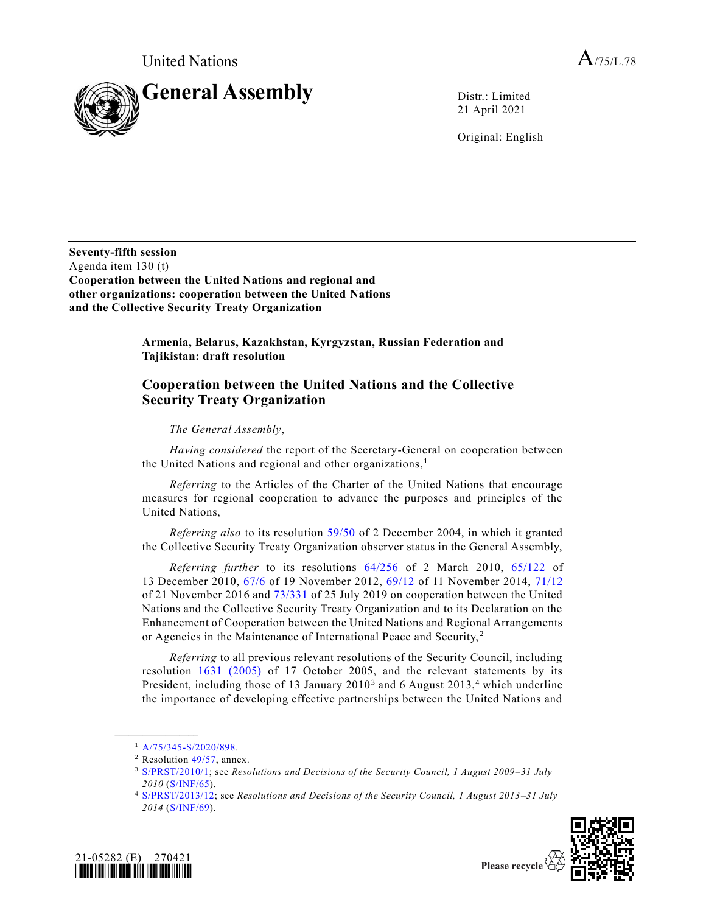

21 April 2021

Original: English

**Seventy-fifth session** Agenda item 130 (t) **Cooperation between the United Nations and regional and other organizations: cooperation between the United Nations and the Collective Security Treaty Organization**

> **Armenia, Belarus, Kazakhstan, Kyrgyzstan, Russian Federation and Tajikistan: draft resolution**

## **Cooperation between the United Nations and the Collective Security Treaty Organization**

## *The General Assembly*,

*Having considered* the report of the Secretary-General on cooperation between the United Nations and regional and other organizations, $<sup>1</sup>$ </sup>

*Referring* to the Articles of the Charter of the United Nations that encourage measures for regional cooperation to advance the purposes and principles of the United Nations,

*Referring also* to its resolution [59/50](https://undocs.org/en/A/RES/59/50) of 2 December 2004, in which it granted the Collective Security Treaty Organization observer status in the General Assembly,

*Referring further* to its resolutions [64/256](https://undocs.org/en/A/RES/64/256) of 2 March 2010, [65/122](https://undocs.org/en/A/RES/65/122) of 13 December 2010, [67/6](https://undocs.org/en/A/RES/67/6) of 19 November 2012, [69/12](https://undocs.org/en/A/RES/69/12) of 11 November 2014, [71/12](https://undocs.org/en/A/RES/71/12) of 21 November 2016 and [73/331](https://undocs.org/en/A/RES/73/331) of 25 July 2019 on cooperation between the United Nations and the Collective Security Treaty Organization and to its Declaration on the Enhancement of Cooperation between the United Nations and Regional Arrangements or Agencies in the Maintenance of International Peace and Security,<sup>2</sup>

*Referring* to all previous relevant resolutions of the Security Council, including resolution [1631 \(2005\)](https://undocs.org/en/S/RES/1631(2005)) of 17 October 2005, and the relevant statements by its President, including those of 13 January  $2010^3$  and 6 August  $2013$ ,<sup>4</sup> which underline the importance of developing effective partnerships between the United Nations and

**\_\_\_\_\_\_\_\_\_\_\_\_\_\_\_\_\_\_**

<sup>4</sup> [S/PRST/2013/12;](https://undocs.org/en/S/PRST/2013/12) see *Resolutions and Decisions of the Security Council, 1 August 2013–31 July 2014* [\(S/INF/69\)](https://undocs.org/en/S/INF/69).





Please recycle

<sup>1</sup> [A/75/345-S/2020/898.](https://undocs.org/en/A/75/345)

<sup>2</sup> Resolution [49/57,](https://undocs.org/en/A/RES/49/57) annex.

<sup>3</sup> [S/PRST/2010/1;](https://undocs.org/en/S/PRST/2010/1) see *Resolutions and Decisions of the Security Council, 1 August 2009–31 July 2010* [\(S/INF/65\)](https://undocs.org/en/S/INF/65).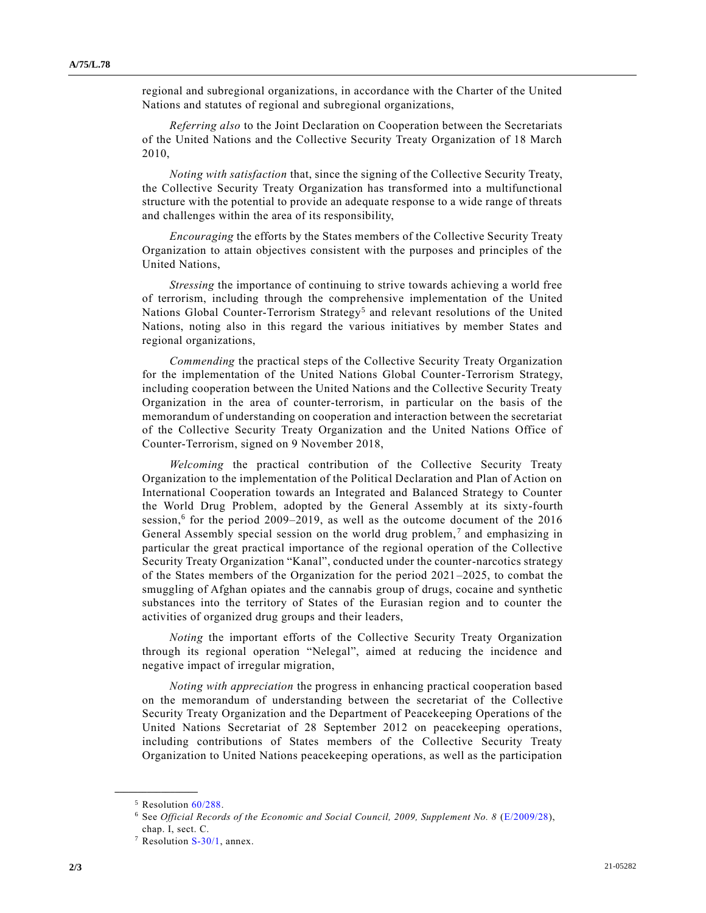regional and subregional organizations, in accordance with the Charter of the United Nations and statutes of regional and subregional organizations,

*Referring also* to the Joint Declaration on Cooperation between the Secretariats of the United Nations and the Collective Security Treaty Organization of 18 March 2010,

*Noting with satisfaction* that, since the signing of the Collective Security Treaty, the Collective Security Treaty Organization has transformed into a multifunctional structure with the potential to provide an adequate response to a wide range of threats and challenges within the area of its responsibility,

*Encouraging* the efforts by the States members of the Collective Security Treaty Organization to attain objectives consistent with the purposes and principles of the United Nations,

*Stressing* the importance of continuing to strive towards achieving a world free of terrorism, including through the comprehensive implementation of the United Nations Global Counter-Terrorism Strategy<sup>5</sup> and relevant resolutions of the United Nations, noting also in this regard the various initiatives by member States and regional organizations,

*Commending* the practical steps of the Collective Security Treaty Organization for the implementation of the United Nations Global Counter-Terrorism Strategy, including cooperation between the United Nations and the Collective Security Treaty Organization in the area of counter-terrorism, in particular on the basis of the memorandum of understanding on cooperation and interaction between the secretariat of the Collective Security Treaty Organization and the United Nations Office of Counter-Terrorism, signed on 9 November 2018,

*Welcoming* the practical contribution of the Collective Security Treaty Organization to the implementation of the Political Declaration and Plan of Action on International Cooperation towards an Integrated and Balanced Strategy to Counter the World Drug Problem, adopted by the General Assembly at its sixty-fourth session,<sup>6</sup> for the period 2009–2019, as well as the outcome document of the  $2016$ General Assembly special session on the world drug problem,<sup>7</sup> and emphasizing in particular the great practical importance of the regional operation of the Collective Security Treaty Organization "Kanal", conducted under the counter-narcotics strategy of the States members of the Organization for the period 2021–2025, to combat the smuggling of Afghan opiates and the cannabis group of drugs, cocaine and synthetic substances into the territory of States of the Eurasian region and to counter the activities of organized drug groups and their leaders,

*Noting* the important efforts of the Collective Security Treaty Organization through its regional operation "Nelegal", aimed at reducing the incidence and negative impact of irregular migration,

*Noting with appreciation* the progress in enhancing practical cooperation based on the memorandum of understanding between the secretariat of the Collective Security Treaty Organization and the Department of Peacekeeping Operations of the United Nations Secretariat of 28 September 2012 on peacekeeping operations, including contributions of States members of the Collective Security Treaty Organization to United Nations peacekeeping operations, as well as the participation

**\_\_\_\_\_\_\_\_\_\_\_\_\_\_\_\_\_\_**

<sup>5</sup> Resolution [60/288.](https://undocs.org/en/A/RES/60/288)

<sup>6</sup> See *Official Records of the Economic and Social Council, 2009, Supplement No. 8* [\(E/2009/28\)](https://undocs.org/en/E/2009/28), chap. I, sect. C.

 $7$  Resolution [S-30/1,](https://undocs.org/en/A/RES/S-30/1) annex.